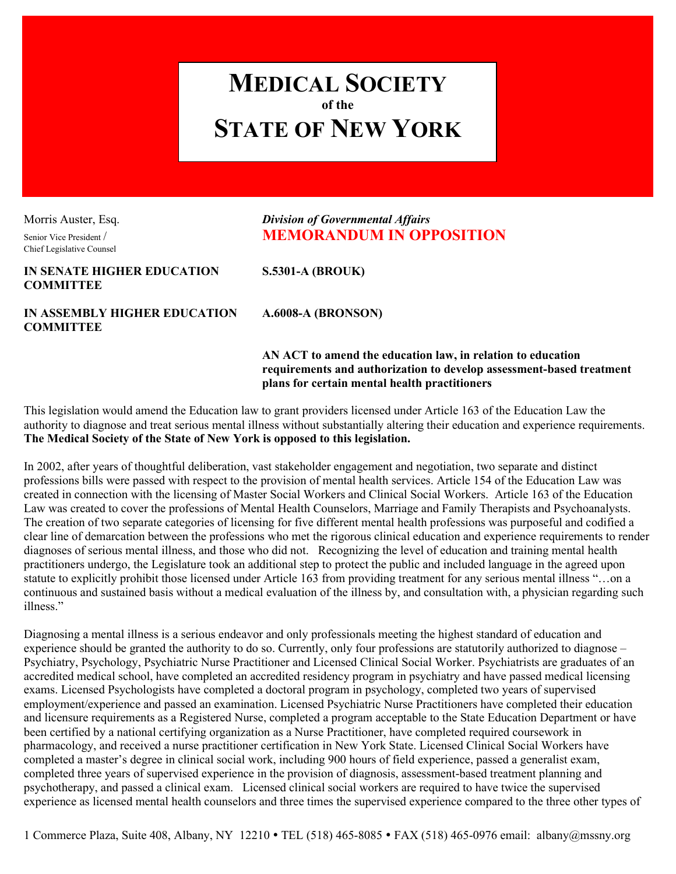## **MEDICAL SOCIETY of the STATE OF NEW YORK**

Chief Legislative Counsel

## Morris Auster, Esq. *Division of Governmental Affairs* Senior Vice President / **MEMORANDUM IN OPPOSITION**

## **IN SENATE HIGHER EDUCATION S.5301-A (BROUK) COMMITTEE**

**IN ASSEMBLY HIGHER EDUCATION A.6008-A (BRONSON) COMMITTEE**

**AN ACT to amend the education law, in relation to education requirements and authorization to develop assessment-based treatment plans for certain mental health practitioners**

This legislation would amend the Education law to grant providers licensed under Article 163 of the Education Law the authority to diagnose and treat serious mental illness without substantially altering their education and experience requirements. **The Medical Society of the State of New York is opposed to this legislation.**

In 2002, after years of thoughtful deliberation, vast stakeholder engagement and negotiation, two separate and distinct professions bills were passed with respect to the provision of mental health services. Article 154 of the Education Law was created in connection with the licensing of Master Social Workers and Clinical Social Workers. Article 163 of the Education Law was created to cover the professions of Mental Health Counselors, Marriage and Family Therapists and Psychoanalysts. The creation of two separate categories of licensing for five different mental health professions was purposeful and codified a clear line of demarcation between the professions who met the rigorous clinical education and experience requirements to render diagnoses of serious mental illness, and those who did not. Recognizing the level of education and training mental health practitioners undergo, the Legislature took an additional step to protect the public and included language in the agreed upon statute to explicitly prohibit those licensed under Article 163 from providing treatment for any serious mental illness "…on a continuous and sustained basis without a medical evaluation of the illness by, and consultation with, a physician regarding such illness."

Diagnosing a mental illness is a serious endeavor and only professionals meeting the highest standard of education and experience should be granted the authority to do so. Currently, only four professions are statutorily authorized to diagnose – Psychiatry, Psychology, Psychiatric Nurse Practitioner and Licensed Clinical Social Worker. Psychiatrists are graduates of an accredited medical school, have completed an accredited residency program in psychiatry and have passed medical licensing exams. Licensed Psychologists have completed a doctoral program in psychology, completed two years of supervised employment/experience and passed an examination. Licensed Psychiatric Nurse Practitioners have completed their education and licensure requirements as a Registered Nurse, completed a program acceptable to the State Education Department or have been certified by a national certifying organization as a Nurse Practitioner, have completed required coursework in pharmacology, and received a nurse practitioner certification in New York State. Licensed Clinical Social Workers have completed a master's degree in clinical social work, including 900 hours of field experience, passed a generalist exam, completed three years of supervised experience in the provision of diagnosis, assessment-based treatment planning and psychotherapy, and passed a clinical exam. Licensed clinical social workers are required to have twice the supervised experience as licensed mental health counselors and three times the supervised experience compared to the three other types of